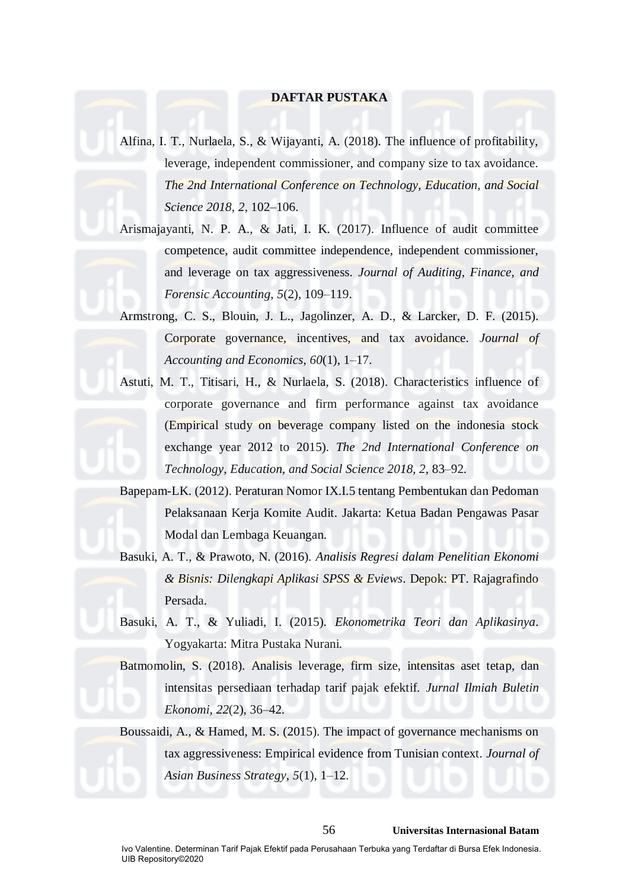# **DAFTAR PUSTAKA**

Alfina, I. T., Nurlaela, S., & Wijayanti, A. (2018). The influence of profitability, leverage, independent commissioner, and company size to tax avoidance. *The 2nd International Conference on Technology, Education, and Social Science 2018*, *2*, 102–106.

Arismajayanti, N. P. A., & Jati, I. K. (2017). Influence of audit committee competence, audit committee independence, independent commissioner, and leverage on tax aggressiveness. *Journal of Auditing, Finance, and Forensic Accounting*, *5*(2), 109–119.

Armstrong, C. S., Blouin, J. L., Jagolinzer, A. D., & Larcker, D. F. (2015). Corporate governance, incentives, and tax avoidance. *Journal of Accounting and Economics*, *60*(1), 1–17.

Astuti, M. T., Titisari, H., & Nurlaela, S. (2018). Characteristics influence of corporate governance and firm performance against tax avoidance (Empirical study on beverage company listed on the indonesia stock exchange year 2012 to 2015). *The 2nd International Conference on Technology, Education, and Social Science 2018*, *2*, 83–92.

Bapepam-LK. (2012). Peraturan Nomor IX.I.5 tentang Pembentukan dan Pedoman Pelaksanaan Kerja Komite Audit. Jakarta: Ketua Badan Pengawas Pasar Modal dan Lembaga Keuangan.

Basuki, A. T., & Prawoto, N. (2016). *Analisis Regresi dalam Penelitian Ekonomi & Bisnis: Dilengkapi Aplikasi SPSS & Eviews*. Depok: PT. Rajagrafindo Persada.

Basuki, A. T., & Yuliadi, I. (2015). *Ekonometrika Teori dan Aplikasinya*. Yogyakarta: Mitra Pustaka Nurani.

Batmomolin, S. (2018). Analisis leverage, firm size, intensitas aset tetap, dan intensitas persediaan terhadap tarif pajak efektif. *Jurnal Ilmiah Buletin Ekonomi*, *22*(2), 36–42.

Boussaidi, A., & Hamed, M. S. (2015). The impact of governance mechanisms on tax aggressiveness: Empirical evidence from Tunisian context. *Journal of Asian Business Strategy*, *5*(1), 1–12.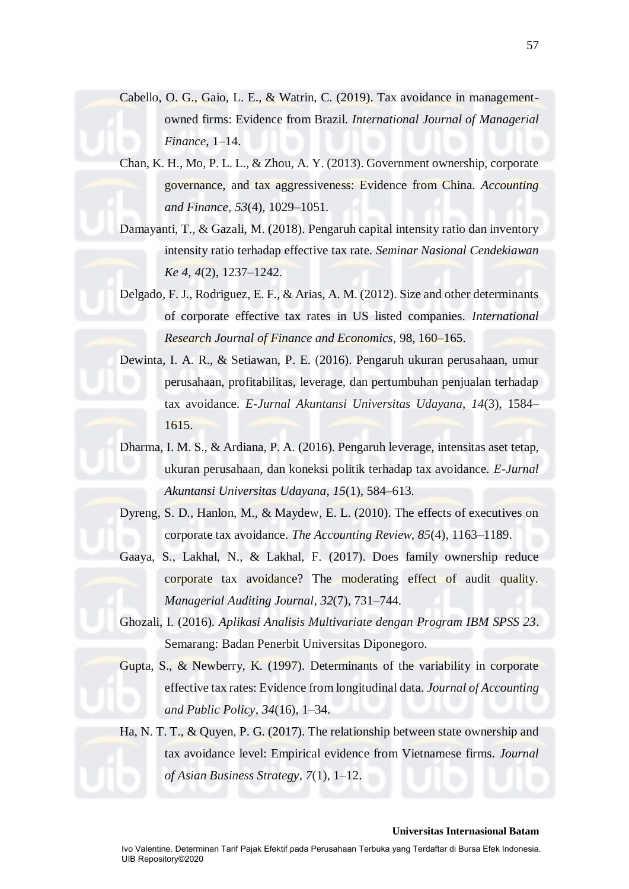- Cabello, O. G., Gaio, L. E., & Watrin, C. (2019). Tax avoidance in managementowned firms: Evidence from Brazil. *International Journal of Managerial Finance*, 1–14.
- Chan, K. H., Mo, P. L. L., & Zhou, A. Y. (2013). Government ownership, corporate governance, and tax aggressiveness: Evidence from China. *Accounting and Finance*, *53*(4), 1029–1051.
- Damayanti, T., & Gazali, M. (2018). Pengaruh capital intensity ratio dan inventory intensity ratio terhadap effective tax rate. *Seminar Nasional Cendekiawan Ke 4*, *4*(2), 1237–1242.
- Delgado, F. J., Rodriguez, E. F., & Arias, A. M. (2012). Size and other determinants of corporate effective tax rates in US listed companies. *International Research Journal of Finance and Economics*, 98, 160–165.

Dewinta, I. A. R., & Setiawan, P. E. (2016). Pengaruh ukuran perusahaan, umur perusahaan, profitabilitas, leverage, dan pertumbuhan penjualan terhadap tax avoidance. *E-Jurnal Akuntansi Universitas Udayana*, *14*(3), 1584– 1615.

Dharma, I. M. S., & Ardiana, P. A. (2016). Pengaruh leverage, intensitas aset tetap, ukuran perusahaan, dan koneksi politik terhadap tax avoidance. *E-Jurnal Akuntansi Universitas Udayana*, *15*(1), 584–613.

Dyreng, S. D., Hanlon, M., & Maydew, E. L. (2010). The effects of executives on corporate tax avoidance. *The Accounting Review*, *85*(4), 1163–1189.

Gaaya, S., Lakhal, N., & Lakhal, F. (2017). Does family ownership reduce corporate tax avoidance? The moderating effect of audit quality. *Managerial Auditing Journal*, *32*(7), 731–744.

Ghozali, I. (2016). *Aplikasi Analisis Multivariate dengan Program IBM SPSS 23*. Semarang: Badan Penerbit Universitas Diponegoro.

Gupta, S., & Newberry, K. (1997). Determinants of the variability in corporate effective tax rates: Evidence from longitudinal data. *Journal of Accounting and Public Policy*, *34*(16), 1–34.

Ha, N. T. T., & Quyen, P. G. (2017). The relationship between state ownership and tax avoidance level: Empirical evidence from Vietnamese firms. *Journal of Asian Business Strategy*, *7*(1), 1–12.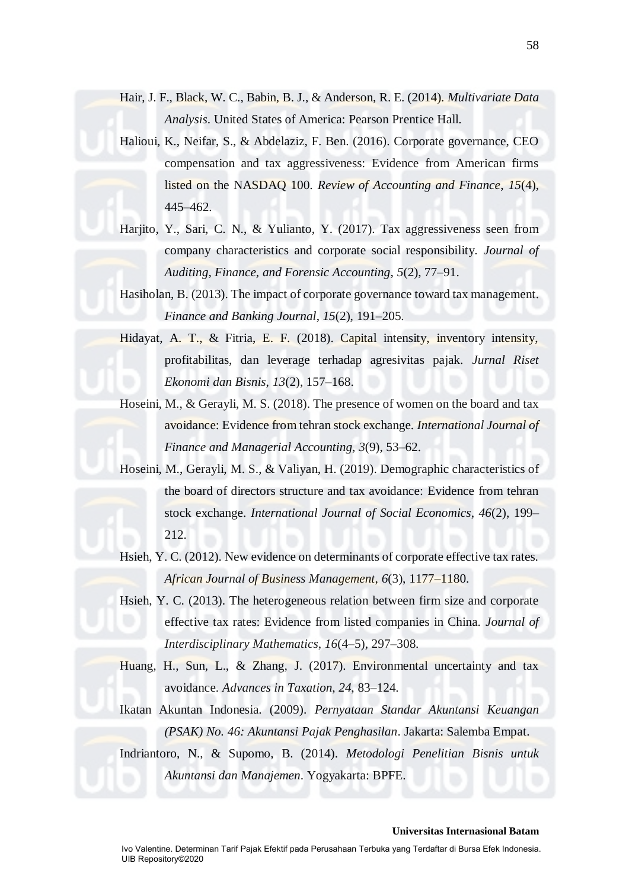- Hair, J. F., Black, W. C., Babin, B. J., & Anderson, R. E. (2014). *Multivariate Data Analysis*. United States of America: Pearson Prentice Hall.
- Halioui, K., Neifar, S., & Abdelaziz, F. Ben. (2016). Corporate governance, CEO compensation and tax aggressiveness: Evidence from American firms listed on the NASDAQ 100. *Review of Accounting and Finance*, *15*(4), 445–462.
- Harjito, Y., Sari, C. N., & Yulianto, Y. (2017). Tax aggressiveness seen from company characteristics and corporate social responsibility. *Journal of Auditing, Finance, and Forensic Accounting*, *5*(2), 77–91.

Hasiholan, B. (2013). The impact of corporate governance toward tax management. *Finance and Banking Journal*, *15*(2), 191–205.

Hidayat, A. T., & Fitria, E. F. (2018). Capital intensity, inventory intensity, profitabilitas, dan leverage terhadap agresivitas pajak. *Jurnal Riset Ekonomi dan Bisnis*, *13*(2), 157–168.

Hoseini, M., & Gerayli, M. S. (2018). The presence of women on the board and tax avoidance: Evidence from tehran stock exchange. *International Journal of Finance and Managerial Accounting*, *3*(9), 53–62.

Hoseini, M., Gerayli, M. S., & Valiyan, H. (2019). Demographic characteristics of the board of directors structure and tax avoidance: Evidence from tehran stock exchange. *International Journal of Social Economics*, *46*(2), 199– 212.

Hsieh, Y. C. (2012). New evidence on determinants of corporate effective tax rates. *African Journal of Business Management*, *6*(3), 1177–1180.

Hsieh, Y. C. (2013). The heterogeneous relation between firm size and corporate effective tax rates: Evidence from listed companies in China. *Journal of Interdisciplinary Mathematics*, *16*(4–5), 297–308.

- Huang, H., Sun, L., & Zhang, J. (2017). Environmental uncertainty and tax avoidance. *Advances in Taxation*, *24*, 83–124.
- Ikatan Akuntan Indonesia. (2009). *Pernyataan Standar Akuntansi Keuangan (PSAK) No. 46: Akuntansi Pajak Penghasilan*. Jakarta: Salemba Empat.

Indriantoro, N., & Supomo, B. (2014). *Metodologi Penelitian Bisnis untuk Akuntansi dan Manajemen*. Yogyakarta: BPFE.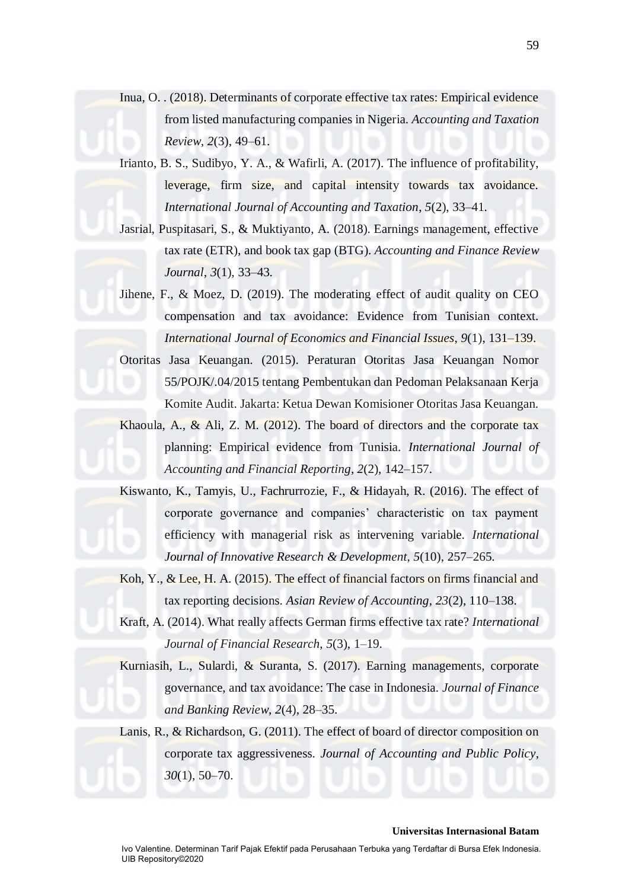Inua, O. . (2018). Determinants of corporate effective tax rates: Empirical evidence from listed manufacturing companies in Nigeria. *Accounting and Taxation Review*, *2*(3), 49–61.

Irianto, B. S., Sudibyo, Y. A., & Wafirli, A. (2017). The influence of profitability, leverage, firm size, and capital intensity towards tax avoidance. *International Journal of Accounting and Taxation*, *5*(2), 33–41.

Jasrial, Puspitasari, S., & Muktiyanto, A. (2018). Earnings management, effective tax rate (ETR), and book tax gap (BTG). *Accounting and Finance Review Journal*, *3*(1), 33–43.

Jihene, F., & Moez, D. (2019). The moderating effect of audit quality on CEO compensation and tax avoidance: Evidence from Tunisian context. *International Journal of Economics and Financial Issues*, *9*(1), 131–139.

Otoritas Jasa Keuangan. (2015). Peraturan Otoritas Jasa Keuangan Nomor 55/POJK/.04/2015 tentang Pembentukan dan Pedoman Pelaksanaan Kerja Komite Audit. Jakarta: Ketua Dewan Komisioner Otoritas Jasa Keuangan.

Khaoula, A., & Ali, Z. M.  $(2012)$ . The board of directors and the corporate tax planning: Empirical evidence from Tunisia. *International Journal of Accounting and Financial Reporting*, *2*(2), 142–157.

Kiswanto, K., Tamyis, U., Fachrurrozie, F., & Hidayah, R. (2016). The effect of corporate governance and companies' characteristic on tax payment efficiency with managerial risk as intervening variable. *International Journal of Innovative Research & Development*, *5*(10), 257–265.

Koh, Y., & Lee, H. A. (2015). The effect of financial factors on firms financial and tax reporting decisions. *Asian Review of Accounting*, *23*(2), 110–138.

Kraft, A. (2014). What really affects German firms effective tax rate? *International Journal of Financial Research*, *5*(3), 1–19.

Kurniasih, L., Sulardi, & Suranta, S. (2017). Earning managements, corporate governance, and tax avoidance: The case in Indonesia. *Journal of Finance and Banking Review*, *2*(4), 28–35.

Lanis, R., & Richardson, G. (2011). The effect of board of director composition on corporate tax aggressiveness. *Journal of Accounting and Public Policy*, *30*(1), 50–70.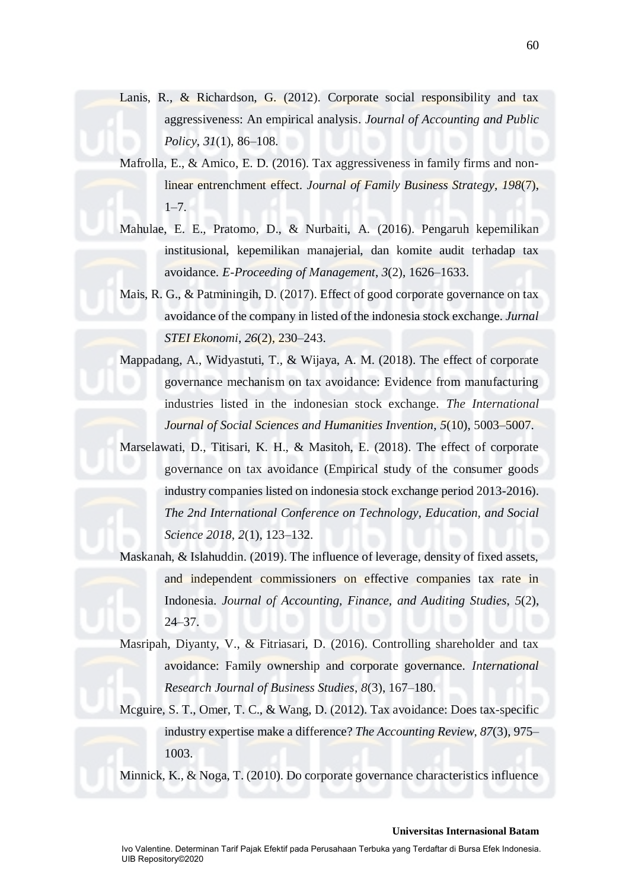- Lanis, R., & Richardson, G. (2012). Corporate social responsibility and tax aggressiveness: An empirical analysis. *Journal of Accounting and Public Policy*, *31*(1), 86–108.
- Mafrolla, E., & Amico, E. D. (2016). Tax aggressiveness in family firms and nonlinear entrenchment effect. *Journal of Family Business Strategy*, *198*(7),  $1 - 7$ .
- Mahulae, E. E., Pratomo, D., & Nurbaiti, A. (2016). Pengaruh kepemilikan institusional, kepemilikan manajerial, dan komite audit terhadap tax avoidance. *E-Proceeding of Management*, *3*(2), 1626–1633.
- Mais, R. G., & Patminingih, D. (2017). Effect of good corporate governance on tax avoidance of the company in listed of the indonesia stock exchange. *Jurnal STEI Ekonomi*, *26*(2), 230–243.

Mappadang, A., Widyastuti, T., & Wijaya, A. M. (2018). The effect of corporate governance mechanism on tax avoidance: Evidence from manufacturing industries listed in the indonesian stock exchange. *The International Journal of Social Sciences and Humanities Invention*, *5*(10), 5003–5007.

Marselawati, D., Titisari, K. H., & Masitoh, E. (2018). The effect of corporate governance on tax avoidance (Empirical study of the consumer goods industry companies listed on indonesia stock exchange period 2013-2016). *The 2nd International Conference on Technology, Education, and Social Science 2018*, *2*(1), 123–132.

Maskanah, & Islahuddin. (2019). The influence of leverage, density of fixed assets, and independent commissioners on effective companies tax rate in Indonesia. *Journal of Accounting, Finance, and Auditing Studies*, *5*(2), 24–37.

Masripah, Diyanty, V., & Fitriasari, D. (2016). Controlling shareholder and tax avoidance: Family ownership and corporate governance. *International Research Journal of Business Studies*, *8*(3), 167–180.

Mcguire, S. T., Omer, T. C., & Wang, D. (2012). Tax avoidance: Does tax-specific industry expertise make a difference? *The Accounting Review*, *87*(3), 975– 1003.

Minnick, K., & Noga, T. (2010). Do corporate governance characteristics influence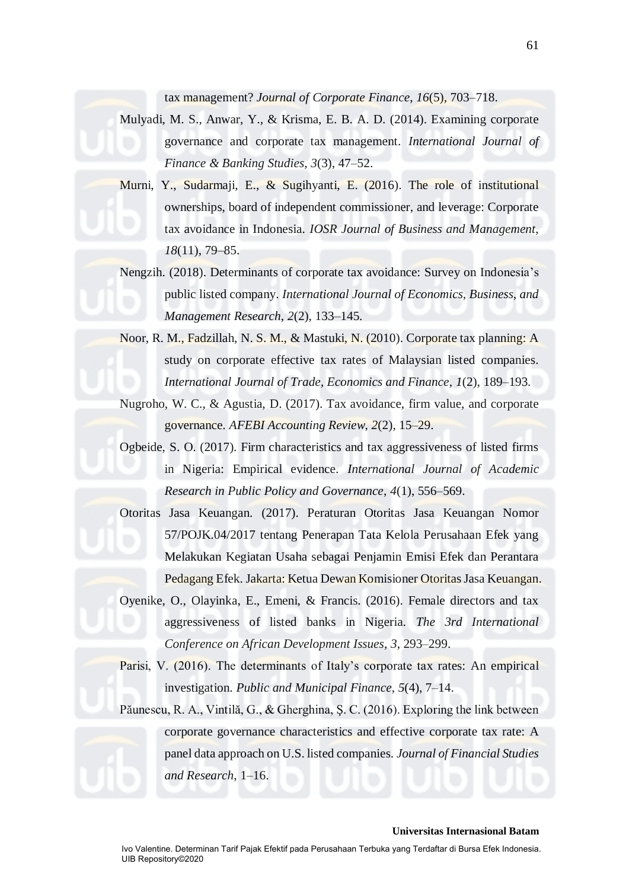tax management? *Journal of Corporate Finance*, *16*(5), 703–718.

Mulyadi, M. S., Anwar, Y., & Krisma, E. B. A. D. (2014). Examining corporate governance and corporate tax management. *International Journal of Finance & Banking Studies*, *3*(3), 47–52.

Murni, Y., Sudarmaji, E., & Sugihyanti, E. (2016). The role of institutional ownerships, board of independent commissioner, and leverage: Corporate tax avoidance in Indonesia. *IOSR Journal of Business and Management*, *18*(11), 79–85.

Nengzih. (2018). Determinants of corporate tax avoidance: Survey on Indonesia's public listed company. *International Journal of Economics, Business, and Management Research*, *2*(2), 133–145.

Noor, R. M., Fadzillah, N. S. M., & Mastuki, N. (2010). Corporate tax planning: A study on corporate effective tax rates of Malaysian listed companies. *International Journal of Trade, Economics and Finance*, *1*(2), 189–193.

Nugroho, W. C., & Agustia, D. (2017). Tax avoidance, firm value, and corporate governance. *AFEBI Accounting Review*, *2*(2), 15–29.

Ogbeide, S. O. (2017). Firm characteristics and tax aggressiveness of listed firms in Nigeria: Empirical evidence. *International Journal of Academic Research in Public Policy and Governance*, *4*(1), 556–569.

Otoritas Jasa Keuangan. (2017). Peraturan Otoritas Jasa Keuangan Nomor 57/POJK.04/2017 tentang Penerapan Tata Kelola Perusahaan Efek yang Melakukan Kegiatan Usaha sebagai Penjamin Emisi Efek dan Perantara Pedagang Efek. Jakarta: Ketua Dewan Komisioner Otoritas Jasa Keuangan.

Oyenike, O., Olayinka, E., Emeni, & Francis. (2016). Female directors and tax aggressiveness of listed banks in Nigeria. *The 3rd International Conference on African Development Issues*, *3*, 293–299.

Parisi, V. (2016). The determinants of Italy's corporate tax rates: An empirical investigation. *Public and Municipal Finance*, *5*(4), 7–14.

Păunescu, R. A., Vintilă, G., & Gherghina, Ş. C. (2016). Exploring the link between corporate governance characteristics and effective corporate tax rate: A panel data approach on U.S. listed companies. *Journal of Financial Studies and Research*, 1–16.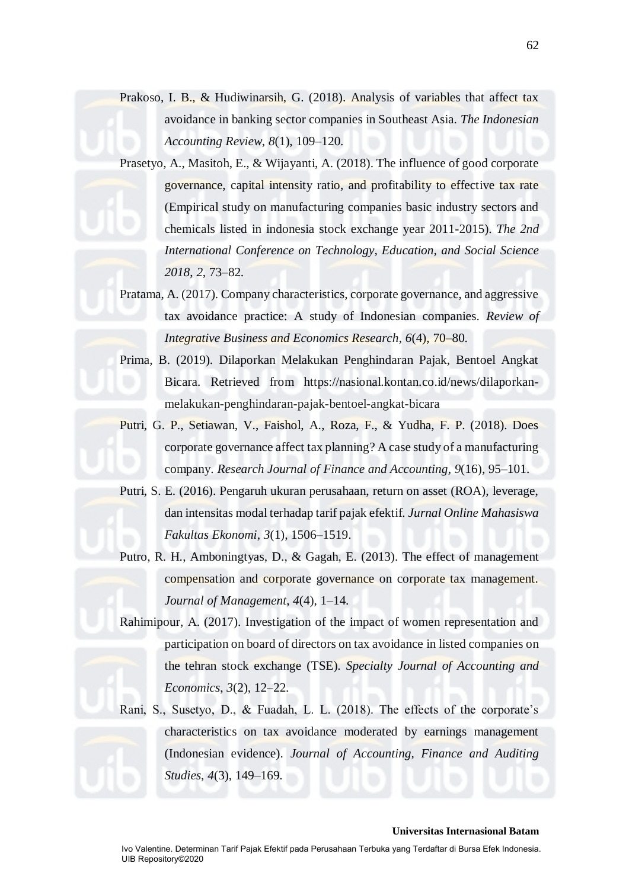Prakoso, I. B., & Hudiwinarsih, G. (2018). Analysis of variables that affect tax avoidance in banking sector companies in Southeast Asia. *The Indonesian Accounting Review*, *8*(1), 109–120.

Prasetyo, A., Masitoh, E., & Wijayanti, A. (2018). The influence of good corporate governance, capital intensity ratio, and profitability to effective tax rate (Empirical study on manufacturing companies basic industry sectors and chemicals listed in indonesia stock exchange year 2011-2015). *The 2nd International Conference on Technology, Education, and Social Science 2018*, *2*, 73–82.

Pratama, A. (2017). Company characteristics, corporate governance, and aggressive tax avoidance practice: A study of Indonesian companies. *Review of Integrative Business and Economics Research*, *6*(4), 70–80.

Prima, B. (2019). Dilaporkan Melakukan Penghindaran Pajak, Bentoel Angkat Bicara. Retrieved from https://nasional.kontan.co.id/news/dilaporkanmelakukan-penghindaran-pajak-bentoel-angkat-bicara

Putri, G. P., Setiawan, V., Faishol, A., Roza, F., & Yudha, F. P. (2018). Does corporate governance affect tax planning? A case study of a manufacturing company. *Research Journal of Finance and Accounting*, *9*(16), 95–101.

Putri, S. E. (2016). Pengaruh ukuran perusahaan, return on asset (ROA), leverage, dan intensitas modal terhadap tarif pajak efektif. *Jurnal Online Mahasiswa Fakultas Ekonomi*, *3*(1), 1506–1519.

Putro, R. H., Amboningtyas, D., & Gagah, E. (2013). The effect of management compensation and corporate governance on corporate tax management. *Journal of Management*, *4*(4), 1–14.

Rahimipour, A. (2017). Investigation of the impact of women representation and participation on board of directors on tax avoidance in listed companies on the tehran stock exchange (TSE). *Specialty Journal of Accounting and Economics*, *3*(2), 12–22.

Rani, S., Susetyo, D., & Fuadah, L. L. (2018). The effects of the corporate's characteristics on tax avoidance moderated by earnings management (Indonesian evidence). *Journal of Accounting, Finance and Auditing Studies*, *4*(3), 149–169.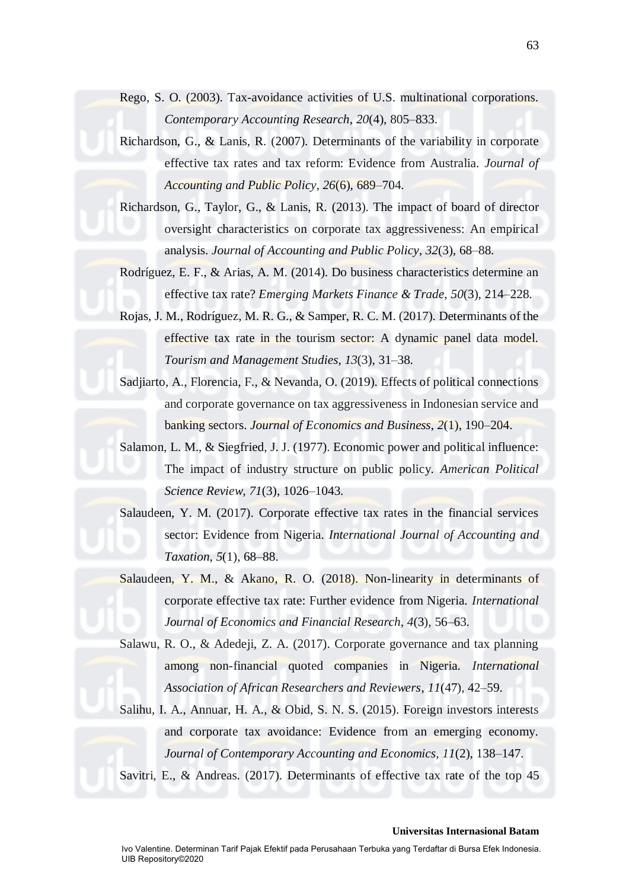- Rego, S. O. (2003). Tax-avoidance activities of U.S. multinational corporations. *Contemporary Accounting Research*, *20*(4), 805–833.
- Richardson, G., & Lanis, R. (2007). Determinants of the variability in corporate effective tax rates and tax reform: Evidence from Australia. *Journal of Accounting and Public Policy*, *26*(6), 689–704.

Richardson, G., Taylor, G., & Lanis, R. (2013). The impact of board of director oversight characteristics on corporate tax aggressiveness: An empirical analysis. *Journal of Accounting and Public Policy*, *32*(3), 68–88.

Rodríguez, E. F., & Arias, A. M. (2014). Do business characteristics determine an effective tax rate? *Emerging Markets Finance & Trade*, *50*(3), 214–228.

Rojas, J. M., Rodríguez, M. R. G., & Samper, R. C. M. (2017). Determinants of the effective tax rate in the tourism sector: A dynamic panel data model. *Tourism and Management Studies*, *13*(3), 31–38.

Sadjiarto, A., Florencia, F., & Nevanda, O. (2019). Effects of political connections and corporate governance on tax aggressiveness in Indonesian service and banking sectors. *Journal of Economics and Business*, *2*(1), 190–204.

Salamon, L. M., & Siegfried, J. J. (1977). Economic power and political influence: The impact of industry structure on public policy. *American Political Science Review*, *71*(3), 1026–1043.

Salaudeen, Y. M. (2017). Corporate effective tax rates in the financial services sector: Evidence from Nigeria. *International Journal of Accounting and Taxation*, *5*(1), 68–88.

Salaudeen, Y. M., & Akano, R. O. (2018). Non-linearity in determinants of corporate effective tax rate: Further evidence from Nigeria. *International Journal of Economics and Financial Research*, *4*(3), 56–63.

Salawu, R. O., & Adedeji, Z. A. (2017). Corporate governance and tax planning among non-financial quoted companies in Nigeria. *International Association of African Researchers and Reviewers*, *11*(47), 42–59.

Salihu, I. A., Annuar, H. A., & Obid, S. N. S. (2015). Foreign investors interests and corporate tax avoidance: Evidence from an emerging economy. *Journal of Contemporary Accounting and Economics*, *11*(2), 138–147.

Savitri, E., & Andreas. (2017). Determinants of effective tax rate of the top 45

63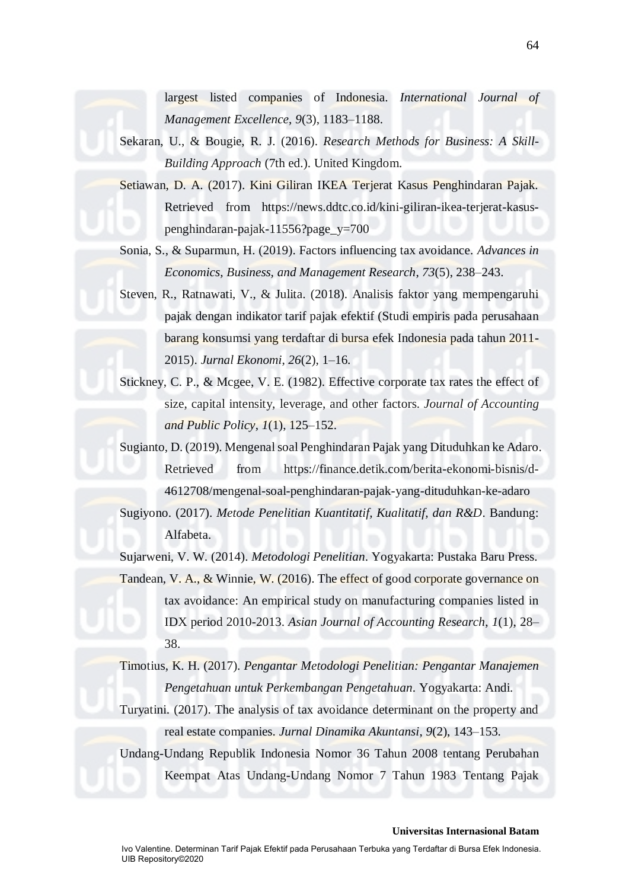largest listed companies of Indonesia. *International Journal of Management Excellence*, *9*(3), 1183–1188.

- Sekaran, U., & Bougie, R. J. (2016). *Research Methods for Business: A Skill-Building Approach* (7th ed.). United Kingdom.
- Setiawan, D. A. (2017). Kini Giliran IKEA Terjerat Kasus Penghindaran Pajak. Retrieved from https://news.ddtc.co.id/kini-giliran-ikea-terjerat-kasuspenghindaran-pajak-11556?page\_y=700

Sonia, S., & Suparmun, H. (2019). Factors influencing tax avoidance. *Advances in Economics, Business, and Management Research*, *73*(5), 238–243.

- Steven, R., Ratnawati, V., & Julita. (2018). Analisis faktor yang mempengaruhi pajak dengan indikator tarif pajak efektif (Studi empiris pada perusahaan barang konsumsi yang terdaftar di bursa efek Indonesia pada tahun 2011- 2015). *Jurnal Ekonomi*, *26*(2), 1–16.
- Stickney, C. P., & Mcgee, V. E. (1982). Effective corporate tax rates the effect of size, capital intensity, leverage, and other factors. *Journal of Accounting and Public Policy*, *1*(1), 125–152.

Sugianto, D. (2019). Mengenal soal Penghindaran Pajak yang Dituduhkan ke Adaro. Retrieved from https://finance.detik.com/berita-ekonomi-bisnis/d-4612708/mengenal-soal-penghindaran-pajak-yang-dituduhkan-ke-adaro Sugiyono. (2017). *Metode Penelitian Kuantitatif, Kualitatif, dan R&D*. Bandung:

Alfabeta.

Sujarweni, V. W. (2014). *Metodologi Penelitian*. Yogyakarta: Pustaka Baru Press. Tandean, V. A., & Winnie, W. (2016). The effect of good corporate governance on tax avoidance: An empirical study on manufacturing companies listed in IDX period 2010-2013. *Asian Journal of Accounting Research*, *1*(1), 28– 38.

Timotius, K. H. (2017). *Pengantar Metodologi Penelitian: Pengantar Manajemen Pengetahuan untuk Perkembangan Pengetahuan*. Yogyakarta: Andi.

Turyatini. (2017). The analysis of tax avoidance determinant on the property and real estate companies. *Jurnal Dinamika Akuntansi*, *9*(2), 143–153.

Undang-Undang Republik Indonesia Nomor 36 Tahun 2008 tentang Perubahan Keempat Atas Undang-Undang Nomor 7 Tahun 1983 Tentang Pajak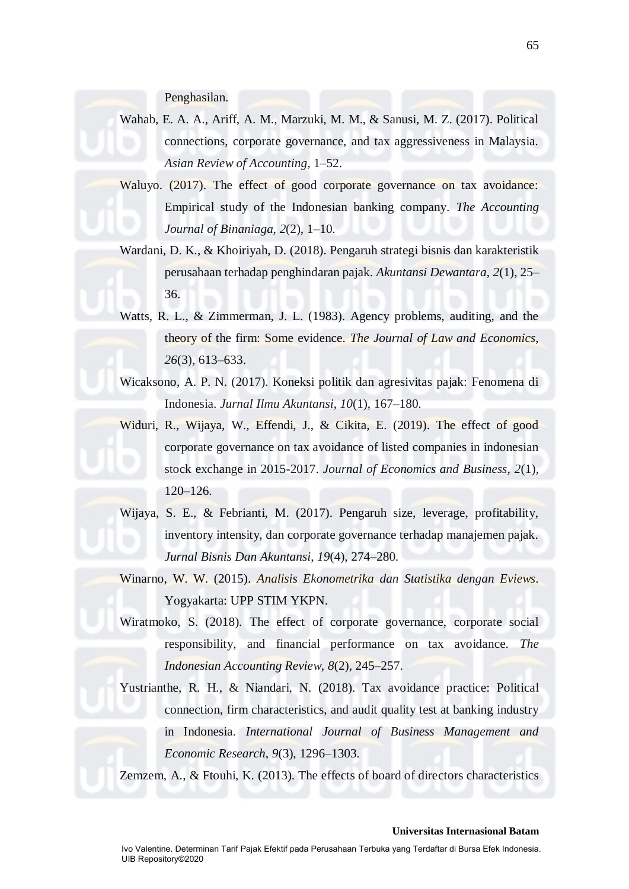Penghasilan.

- Wahab, E. A. A., Ariff, A. M., Marzuki, M. M., & Sanusi, M. Z. (2017). Political connections, corporate governance, and tax aggressiveness in Malaysia. *Asian Review of Accounting*, 1–52.
- Waluyo. (2017). The effect of good corporate governance on tax avoidance: Empirical study of the Indonesian banking company. *The Accounting Journal of Binaniaga*, *2*(2), 1–10.
- Wardani, D. K., & Khoiriyah, D. (2018). Pengaruh strategi bisnis dan karakteristik perusahaan terhadap penghindaran pajak. *Akuntansi Dewantara*, *2*(1), 25– 36.
- Watts, R. L., & Zimmerman, J. L. (1983). Agency problems, auditing, and the theory of the firm: Some evidence. *The Journal of Law and Economics*, *26*(3), 613–633.
- Wicaksono, A. P. N. (2017). Koneksi politik dan agresivitas pajak: Fenomena di Indonesia. *Jurnal Ilmu Akuntansi*, *10*(1), 167–180.
- Widuri, R., Wijaya, W., Effendi, J., & Cikita, E. (2019). The effect of good corporate governance on tax avoidance of listed companies in indonesian stock exchange in 2015-2017. *Journal of Economics and Business*, *2*(1), 120–126.
- Wijaya, S. E., & Febrianti, M. (2017). Pengaruh size, leverage, profitability, inventory intensity, dan corporate governance terhadap manajemen pajak. *Jurnal Bisnis Dan Akuntansi*, *19*(4), 274–280.
- Winarno, W. W. (2015). *Analisis Ekonometrika dan Statistika dengan Eviews*. Yogyakarta: UPP STIM YKPN.
- Wiratmoko, S. (2018). The effect of corporate governance, corporate social responsibility, and financial performance on tax avoidance. *The Indonesian Accounting Review*, *8*(2), 245–257.
- Yustrianthe, R. H., & Niandari, N. (2018). Tax avoidance practice: Political connection, firm characteristics, and audit quality test at banking industry in Indonesia. *International Journal of Business Management and Economic Research*, *9*(3), 1296–1303.

Zemzem, A., & Ftouhi, K. (2013). The effects of board of directors characteristics